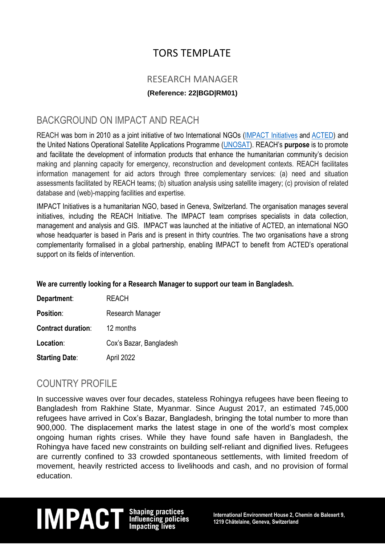## TORS TEMPLATE

### RESEARCH MANAGER **(Reference: 22|BGD|RM01)**

## BACKGROUND ON IMPACT AND REACH

REACH was born in 2010 as a joint initiative of two International NGOs (IMPACT [Initiatives](http://www.impact-initiatives.org/) and [ACTED\)](http://www.acted.org/) and the United Nations Operational Satellite Applications Programme [\(UNOSAT\)](http://www.unitar.org/unosat/). REACH's **purpose** is to promote and facilitate the development of information products that enhance the humanitarian community's decision making and planning capacity for emergency, reconstruction and development contexts. REACH facilitates information management for aid actors through three complementary services: (a) need and situation assessments facilitated by REACH teams; (b) situation analysis using satellite imagery; (c) provision of related database and (web)-mapping facilities and expertise.

IMPACT Initiatives is a humanitarian NGO, based in Geneva, Switzerland. The organisation manages several initiatives, including the REACH Initiative. The IMPACT team comprises specialists in data collection, management and analysis and GIS. IMPACT was launched at the initiative of ACTED, an international NGO whose headquarter is based in Paris and is present in thirty countries. The two organisations have a strong complementarity formalised in a global partnership, enabling IMPACT to benefit from ACTED's operational support on its fields of intervention.

#### **We are currently looking for a Research Manager to support our team in Bangladesh.**

| Department:               | REACH                   |
|---------------------------|-------------------------|
| <b>Position:</b>          | Research Manager        |
| <b>Contract duration:</b> | 12 months               |
| Location:                 | Cox's Bazar, Bangladesh |
| <b>Starting Date:</b>     | April 2022              |

## COUNTRY PROFILE

In successive waves over four decades, stateless Rohingya refugees have been fleeing to Bangladesh from Rakhine State, Myanmar. Since August 2017, an estimated 745,000 refugees have arrived in Cox's Bazar, Bangladesh, bringing the total number to more than 900,000. The displacement marks the latest stage in one of the world's most complex ongoing human rights crises. While they have found safe haven in Bangladesh, the Rohingya have faced new constraints on building self-reliant and dignified lives. Refugees are currently confined to 33 crowded spontaneous settlements, with limited freedom of movement, heavily restricted access to livelihoods and cash, and no provision of formal education.

## **IM PACT** Shaping practices<br>Influencing policies International Environment House 2, Chemin de Balexert 9,<br>Impacting lives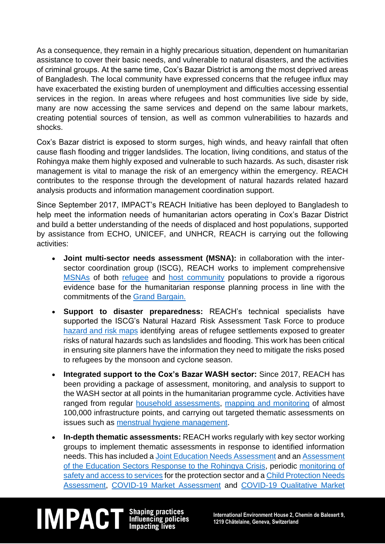As a consequence, they remain in a highly precarious situation, dependent on humanitarian assistance to cover their basic needs, and vulnerable to natural disasters, and the activities of criminal groups. At the same time, Cox's Bazar District is among the most deprived areas of Bangladesh. The local community have expressed concerns that the refugee influx may have exacerbated the existing burden of unemployment and difficulties accessing essential services in the region. In areas where refugees and host communities live side by side, many are now accessing the same services and depend on the same labour markets, creating potential sources of tension, as well as common vulnerabilities to hazards and shocks.

Cox's Bazar district is exposed to storm surges, high winds, and heavy rainfall that often cause flash flooding and trigger landslides. The location, living conditions, and status of the Rohingya make them highly exposed and vulnerable to such hazards. As such, disaster risk management is vital to manage the risk of an emergency within the emergency. REACH contributes to the response through the development of natural hazards related hazard analysis products and information management coordination support.

Since September 2017, IMPACT's REACH Initiative has been deployed to Bangladesh to help meet the information needs of humanitarian actors operating in Cox's Bazar District and build a better understanding of the needs of displaced and host populations, supported by assistance from ECHO, UNICEF, and UNHCR, REACH is carrying out the following activities:

- **Joint multi-sector needs assessment (MSNA):** in collaboration with the intersector coordination group (ISCG), REACH works to implement comprehensive MSNAs of both [refugee](https://www.impact-repository.org/document/repository/c2b53244/REACH_BGD_Report_JMSNA_Refugee_May-2021_English.pdf) and host [community](https://www.impact-repository.org/document/repository/35babe99/REACH_BGD_Report_JMSNA_Host-Community_May-2021_English.pdf) populations to provide a rigorous evidence base for the humanitarian response planning process in line with the commitments of the [Grand Bargain.](https://interagencystandingcommittee.org/improve-joint-and-impartial-needs-assessments)
- **Support to disaster preparedness:** REACH's technical specialists have supported the ISCG's Natural Hazard Risk Assessment Task Force to produce [hazard and](https://www.reachresourcecentre.info/search/?search=1&initiative%5B%5D=reach&pcountry%5B%5D=bangladesh&rcid%5B%5D=1013&dates=&keywords=) risk maps identifying areas of refugee settlements exposed to greater risks of natural hazards such as landslides and flooding. This work has been critical in ensuring site planners have the information they need to mitigate the risks posed to refugees by the monsoon and cyclone season.
- **Integrated support to the Cox's Bazar WASH sector:** Since 2017, REACH has been providing a package of assessment, monitoring, and analysis to support to the WASH sector at all points in the humanitarian programme cycle. Activities have ranged from regular [household assessments,](https://www.impact-repository.org/document/reach/e88e8e52/REACH_BGD_Report_WASH-HH-Dry-Season-Follow-Up-Assessment_May-2019.pdf) [mapping and monitoring](https://www.impact-repository.org/document/reach/7b8606e1/REACH_BGD_TubewellsCoding_Camp-1E_August2019.pdf) of almost 100,000 infrastructure points, and carrying out targeted thematic assessments on issues such as menstrual [hygiene management.](https://www.impact-repository.org/document/reach/52227c9c/BGD_Factsheet_WASH-Menstrual-Hygiene-Materials-Assessment_Response-Level_July-2019.pdf)
- **In-depth thematic assessments:** REACH works regularly with key sector working groups to implement thematic assessments in response to identified information needs. This has included a [Joint Education Needs Assessment](https://www.impact-repository.org/document/reach/8ab3968b/reach_bgd_report_education_needs_assessment_march_2019.pdf) and an [Assessment](https://www.impact-repository.org/document/reach/1a8e426c/REACH_Education-Sector-Assessment_Thematic-Briefs_March_2021.pdf)  [of the Education Sectors Response to the Rohingya Crisis,](https://www.impact-repository.org/document/reach/1a8e426c/REACH_Education-Sector-Assessment_Thematic-Briefs_March_2021.pdf) periodic [monitoring of](https://www.impact-repository.org/document/reach/eb017ecc/REACH_BGD_Factsheet_SPP-Camp-Level_-July-2019.pdf)  [safety and access to services](https://www.impact-repository.org/document/reach/eb017ecc/REACH_BGD_Factsheet_SPP-Camp-Level_-July-2019.pdf) for the protection sector and a [Child Protection](https://www.impact-repository.org/document/reach/126a8989/REACH_BGD_CPSS_May-2020_v2.pdf) Needs Assessment, [COVID-19 Market Assessment](https://www.impact-repository.org/document/reach/fb78973e/BGD2002-COVID-19-Market-Monitoring-Initiative-%E2%80%93-Factsheet_round_5V1.pdf) and [COVID-19 Qualitative Market](https://www.impact-repository.org/document/reach/a796688b/REACH_BGD_COVID-19-Qualitative-Vendor-Surveys_May2020-1.pdf)

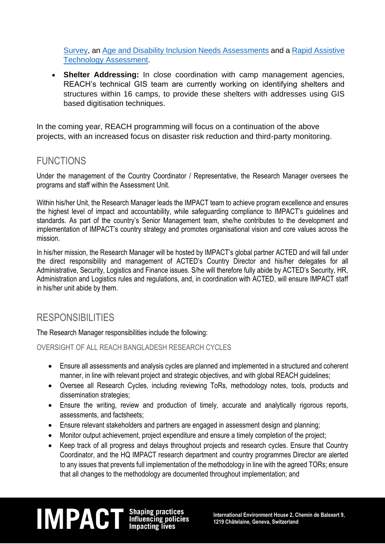[Survey,](https://www.impact-repository.org/document/reach/a796688b/REACH_BGD_COVID-19-Qualitative-Vendor-Surveys_May2020-1.pdf) an [Age and Disability Inclusion Needs Assessments](https://www.reachresourcecentre.info/country/bangladesh/cycle/31656/#cycle-31656) and a [Rapid Assistive](https://www.impact-repository.org/document/reach/62314b0e/BGD_Factsheet_rATA_May2021.pdf)  [Technology Assessment.](https://www.impact-repository.org/document/reach/62314b0e/BGD_Factsheet_rATA_May2021.pdf)

**Shelter Addressing:** In close coordination with camp management agencies, REACH's technical GIS team are currently working on identifying shelters and structures within 16 camps, to provide these shelters with addresses using GIS based digitisation techniques.

In the coming year, REACH programming will focus on a continuation of the above projects, with an increased focus on disaster risk reduction and third-party monitoring.

## FUNCTIONS

Under the management of the Country Coordinator / Representative, the Research Manager oversees the programs and staff within the Assessment Unit.

Within his/her Unit, the Research Manager leads the IMPACT team to achieve program excellence and ensures the highest level of impact and accountability, while safeguarding compliance to IMPACT's guidelines and standards. As part of the country's Senior Management team, she/he contributes to the development and implementation of IMPACT's country strategy and promotes organisational vision and core values across the mission.

In his/her mission, the Research Manager will be hosted by IMPACT's global partner ACTED and will fall under the direct responsibility and management of ACTED's Country Director and his/her delegates for all Administrative, Security, Logistics and Finance issues. S/he will therefore fully abide by ACTED's Security, HR, Administration and Logistics rules and regulations, and, in coordination with ACTED, will ensure IMPACT staff in his/her unit abide by them.

## RESPONSIBILITIES

The Research Manager responsibilities include the following:

OVERSIGHT OF ALL REACH BANGLADESH RESEARCH CYCLES

- Ensure all assessments and analysis cycles are planned and implemented in a structured and coherent manner, in line with relevant project and strategic objectives, and with global REACH guidelines;
- Oversee all Research Cycles, including reviewing ToRs, methodology notes, tools, products and dissemination strategies;
- Ensure the writing, review and production of timely, accurate and analytically rigorous reports, assessments, and factsheets;
- Ensure relevant stakeholders and partners are engaged in assessment design and planning;
- Monitor output achievement, project expenditure and ensure a timely completion of the project;
- Keep track of all progress and delays throughout projects and research cycles. Ensure that Country Coordinator, and the HQ IMPACT research department and country programmes Director are alerted to any issues that prevents full implementation of the methodology in line with the agreed TORs; ensure that all changes to the methodology are documented throughout implementation; and

# **IM PACT** Shaping practices<br>Influencing policies International Environment House 2, Chemin de Balexert 9,<br>Impacting lives 1219 Châtelaine, Geneva, Switzerland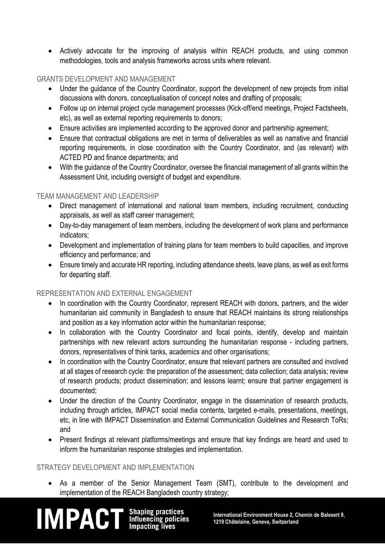• Actively advocate for the improving of analysis within REACH products, and using common methodologies, tools and analysis frameworks across units where relevant.

#### GRANTS DEVELOPMENT AND MANAGEMENT

- Under the quidance of the Country Coordinator, support the development of new projects from initial discussions with donors, conceptualisation of concept notes and drafting of proposals;
- Follow up on internal project cycle management processes (Kick-off/end meetings, Project Factsheets, etc), as well as external reporting requirements to donors;
- Ensure activities are implemented according to the approved donor and partnership agreement;
- Ensure that contractual obligations are met in terms of deliverables as well as narrative and financial reporting requirements, in close coordination with the Country Coordinator, and (as relevant) with ACTED PD and finance departments; and
- With the guidance of the Country Coordinator, oversee the financial management of all grants within the Assessment Unit, including oversight of budget and expenditure.

#### TEAM MANAGEMENT AND LEADERSHIP

- Direct management of international and national team members, including recruitment, conducting appraisals, as well as staff career management;
- Day-to-day management of team members, including the development of work plans and performance indicators;
- Development and implementation of training plans for team members to build capacities, and improve efficiency and performance; and
- Ensure timely and accurate HR reporting, including attendance sheets, leave plans, as well as exit forms for departing staff.

#### REPRESENTATION AND EXTERNAL ENGAGEMENT

- In coordination with the Country Coordinator, represent REACH with donors, partners, and the wider humanitarian aid community in Bangladesh to ensure that REACH maintains its strong relationships and position as a key information actor within the humanitarian response;
- In collaboration with the Country Coordinator and focal points, identify, develop and maintain partnerships with new relevant actors surrounding the humanitarian response - including partners, donors, representatives of think tanks, academics and other organisations;
- In coordination with the Country Coordinator, ensure that relevant partners are consulted and involved at all stages of research cycle: the preparation of the assessment; data collection; data analysis; review of research products; product dissemination; and lessons learnt; ensure that partner engagement is documented;
- Under the direction of the Country Coordinator, engage in the dissemination of research products, including through articles, IMPACT social media contents, targeted e-mails, presentations, meetings, etc, in line with IMPACT Dissemination and External Communication Guidelines and Research ToRs; and
- Present findings at relevant platforms/meetings and ensure that key findings are heard and used to inform the humanitarian response strategies and implementation.

#### STRATEGY DEVELOPMENT AND IMPLEMENTATION

• As a member of the Senior Management Team (SMT), contribute to the development and implementation of the REACH Bangladesh country strategy;

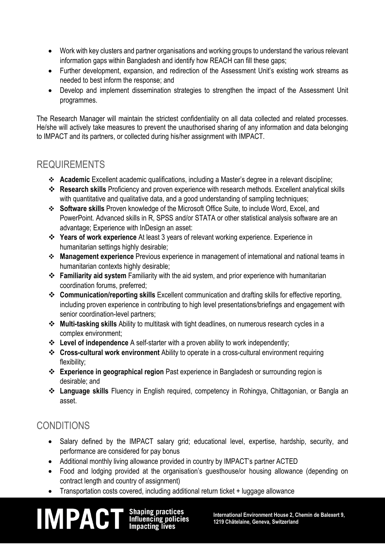- Work with key clusters and partner organisations and working groups to understand the various relevant information gaps within Bangladesh and identify how REACH can fill these gaps;
- Further development, expansion, and redirection of the Assessment Unit's existing work streams as needed to best inform the response; and
- Develop and implement dissemination strategies to strengthen the impact of the Assessment Unit programmes.

The Research Manager will maintain the strictest confidentiality on all data collected and related processes. He/she will actively take measures to prevent the unauthorised sharing of any information and data belonging to IMPACT and its partners, or collected during his/her assignment with IMPACT.

## REQUIREMENTS

- ❖ **Academic** Excellent academic qualifications, including a Master's degree in a relevant discipline;
- ❖ **Research skills** Proficiency and proven experience with research methods. Excellent analytical skills with quantitative and qualitative data, and a good understanding of sampling techniques;
- ❖ **Software skills** Proven knowledge of the Microsoft Office Suite, to include Word, Excel, and PowerPoint. Advanced skills in R, SPSS and/or STATA or other statistical analysis software are an advantage; Experience with InDesign an asset:
- ❖ **Years of work experience** At least 3 years of relevant working experience. Experience in humanitarian settings highly desirable;
- ❖ **Management experience** Previous experience in management of international and national teams in humanitarian contexts highly desirable;
- ❖ **Familiarity aid system** Familiarity with the aid system, and prior experience with humanitarian coordination forums, preferred;
- ❖ **Communication/reporting skills** Excellent communication and drafting skills for effective reporting, including proven experience in contributing to high level presentations/briefings and engagement with senior coordination-level partners;
- ❖ **Multi-tasking skills** Ability to multitask with tight deadlines, on numerous research cycles in a complex environment;
- ❖ **Level of independence** A self-starter with a proven ability to work independently;
- ❖ **Cross-cultural work environment** Ability to operate in a cross-cultural environment requiring flexibility;
- ❖ **Experience in geographical region** Past experience in Bangladesh or surrounding region is desirable; and
- ❖ **Language skills** Fluency in English required, competency in Rohingya, Chittagonian, or Bangla an asset.

## **CONDITIONS**

- Salary defined by the IMPACT salary grid; educational level, expertise, hardship, security, and performance are considered for pay bonus
- Additional monthly living allowance provided in country by IMPACT's partner ACTED
- Food and lodging provided at the organisation's guesthouse/or housing allowance (depending on contract length and country of assignment)
- Transportation costs covered, including additional return ticket + luggage allowance

# **IM PACT** Shaping practices<br>Influencing policies International Environment House 2, Chemin de Balexert 9,<br>Impacting lives 1219 Châtelaine, Geneva, Switzerland